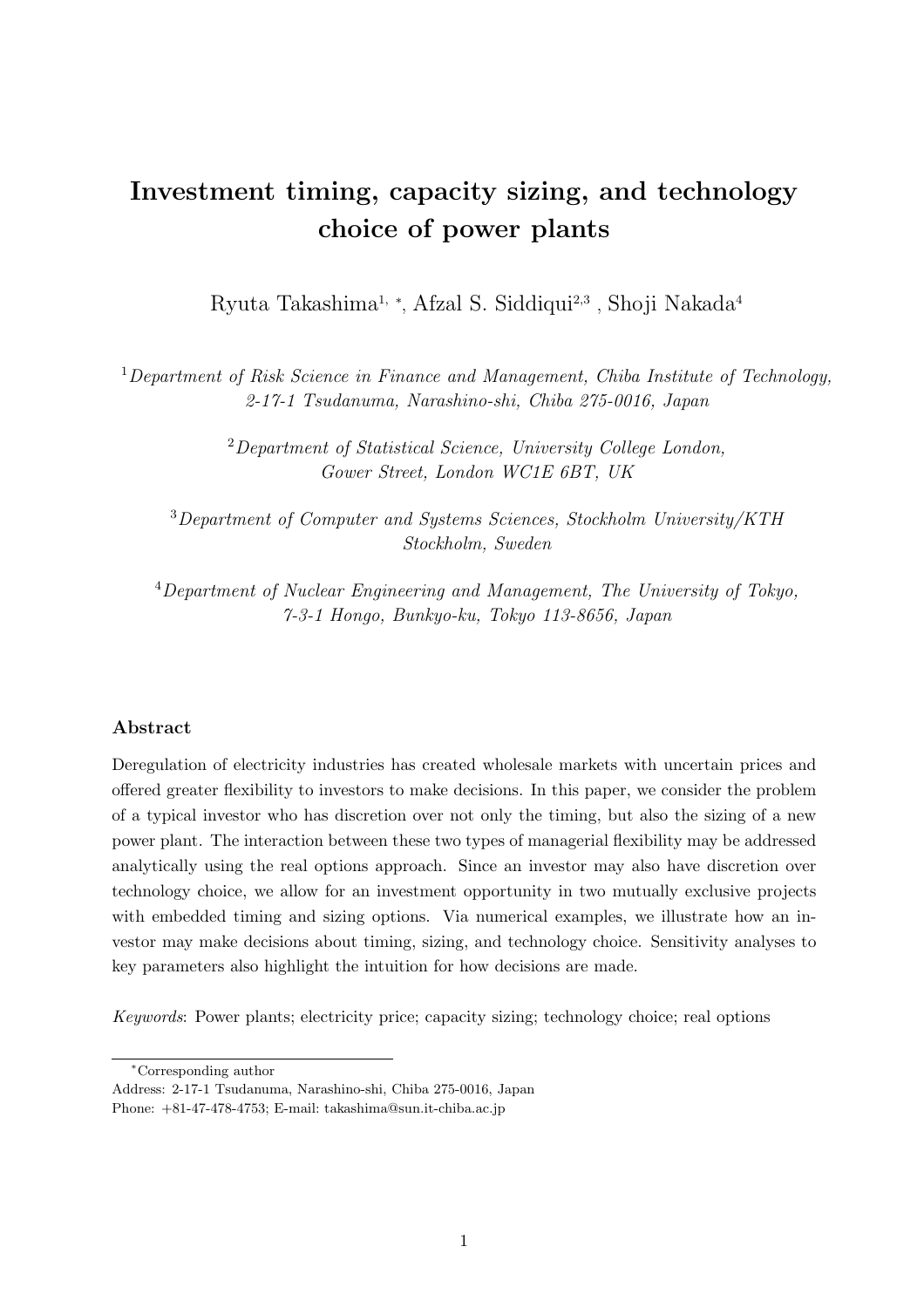# Investment timing, capacity sizing, and technology choice of power plants

Ryuta Takashima1, <sup>∗</sup> , Afzal S. Siddiqui2,<sup>3</sup> , Shoji Nakada<sup>4</sup>

<sup>1</sup>Department of Risk Science in Finance and Management, Chiba Institute of Technology, 2-17-1 Tsudanuma, Narashino-shi, Chiba 275-0016, Japan

> <sup>2</sup>Department of Statistical Science, University College London, Gower Street, London WC1E 6BT, UK

<sup>3</sup>Department of Computer and Systems Sciences, Stockholm University/KTH Stockholm, Sweden

<sup>4</sup>Department of Nuclear Engineering and Management, The University of Tokyo, 7-3-1 Hongo, Bunkyo-ku, Tokyo 113-8656, Japan

#### Abstract

Deregulation of electricity industries has created wholesale markets with uncertain prices and offered greater flexibility to investors to make decisions. In this paper, we consider the problem of a typical investor who has discretion over not only the timing, but also the sizing of a new power plant. The interaction between these two types of managerial flexibility may be addressed analytically using the real options approach. Since an investor may also have discretion over technology choice, we allow for an investment opportunity in two mutually exclusive projects with embedded timing and sizing options. Via numerical examples, we illustrate how an investor may make decisions about timing, sizing, and technology choice. Sensitivity analyses to key parameters also highlight the intuition for how decisions are made.

Keywords: Power plants; electricity price; capacity sizing; technology choice; real options

<sup>∗</sup>Corresponding author

Address: 2-17-1 Tsudanuma, Narashino-shi, Chiba 275-0016, Japan

Phone: +81-47-478-4753; E-mail: takashima@sun.it-chiba.ac.jp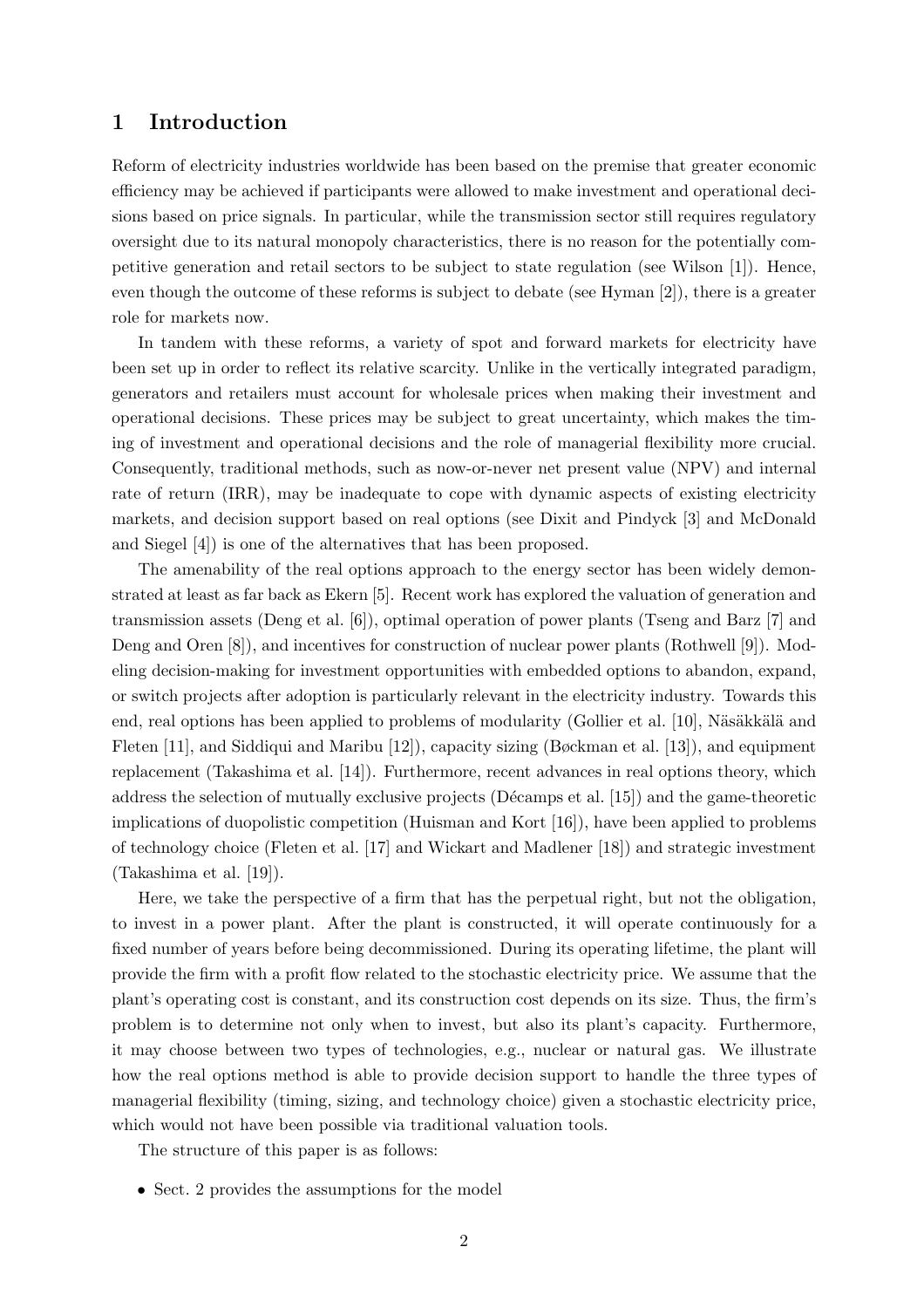#### 1 Introduction

Reform of electricity industries worldwide has been based on the premise that greater economic efficiency may be achieved if participants were allowed to make investment and operational decisions based on price signals. In particular, while the transmission sector still requires regulatory oversight due to its natural monopoly characteristics, there is no reason for the potentially competitive generation and retail sectors to be subject to state regulation (see Wilson [1]). Hence, even though the outcome of these reforms is subject to debate (see Hyman [2]), there is a greater role for markets now.

In tandem with these reforms, a variety of spot and forward markets for electricity have been set up in order to reflect its relative scarcity. Unlike in the vertically integrated paradigm, generators and retailers must account for wholesale prices when making their investment and operational decisions. These prices may be subject to great uncertainty, which makes the timing of investment and operational decisions and the role of managerial flexibility more crucial. Consequently, traditional methods, such as now-or-never net present value (NPV) and internal rate of return (IRR), may be inadequate to cope with dynamic aspects of existing electricity markets, and decision support based on real options (see Dixit and Pindyck [3] and McDonald and Siegel [4]) is one of the alternatives that has been proposed.

The amenability of the real options approach to the energy sector has been widely demonstrated at least as far back as Ekern [5]. Recent work has explored the valuation of generation and transmission assets (Deng et al. [6]), optimal operation of power plants (Tseng and Barz [7] and Deng and Oren [8]), and incentives for construction of nuclear power plants (Rothwell [9]). Modeling decision-making for investment opportunities with embedded options to abandon, expand, or switch projects after adoption is particularly relevant in the electricity industry. Towards this end, real options has been applied to problems of modularity (Gollier et al. [10], Näsäkkälä and Fleten [11], and Siddiqui and Maribu [12]), capacity sizing (Bøckman et al. [13]), and equipment replacement (Takashima et al. [14]). Furthermore, recent advances in real options theory, which address the selection of mutually exclusive projects (Décamps et al.  $[15]$ ) and the game-theoretic implications of duopolistic competition (Huisman and Kort [16]), have been applied to problems of technology choice (Fleten et al. [17] and Wickart and Madlener [18]) and strategic investment (Takashima et al. [19]).

Here, we take the perspective of a firm that has the perpetual right, but not the obligation, to invest in a power plant. After the plant is constructed, it will operate continuously for a fixed number of years before being decommissioned. During its operating lifetime, the plant will provide the firm with a profit flow related to the stochastic electricity price. We assume that the plant's operating cost is constant, and its construction cost depends on its size. Thus, the firm's problem is to determine not only when to invest, but also its plant's capacity. Furthermore, it may choose between two types of technologies, e.g., nuclear or natural gas. We illustrate how the real options method is able to provide decision support to handle the three types of managerial flexibility (timing, sizing, and technology choice) given a stochastic electricity price, which would not have been possible via traditional valuation tools.

The structure of this paper is as follows:

• Sect. 2 provides the assumptions for the model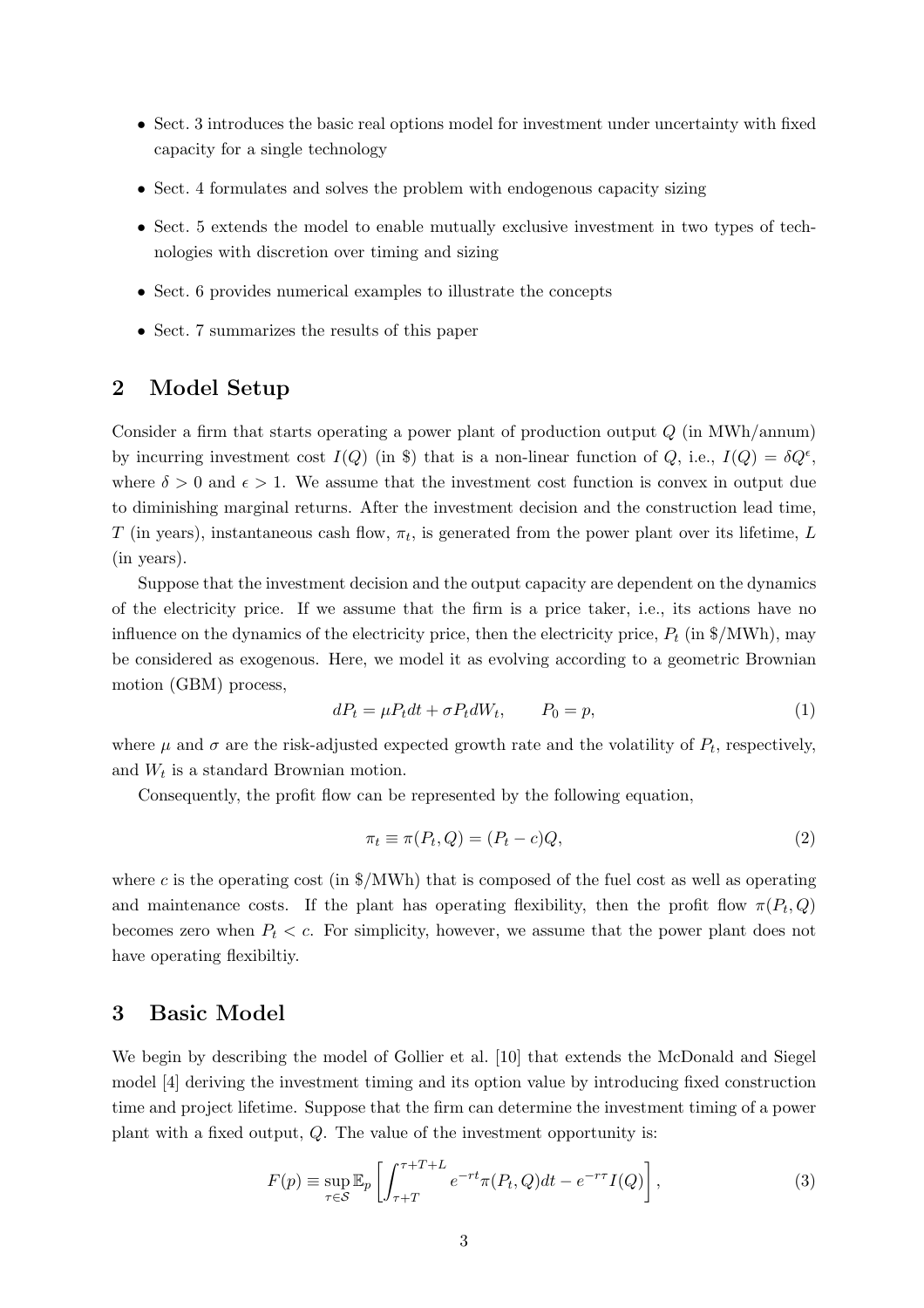- Sect. 3 introduces the basic real options model for investment under uncertainty with fixed capacity for a single technology
- Sect. 4 formulates and solves the problem with endogenous capacity sizing
- Sect. 5 extends the model to enable mutually exclusive investment in two types of technologies with discretion over timing and sizing
- Sect. 6 provides numerical examples to illustrate the concepts
- Sect. 7 summarizes the results of this paper

## 2 Model Setup

Consider a firm that starts operating a power plant of production output  $Q$  (in MWh/annum) by incurring investment cost  $I(Q)$  (in \$) that is a non-linear function of  $Q$ , i.e.,  $I(Q) = \delta Q^{\epsilon}$ , where  $\delta > 0$  and  $\epsilon > 1$ . We assume that the investment cost function is convex in output due to diminishing marginal returns. After the investment decision and the construction lead time, T (in years), instantaneous cash flow,  $\pi_t$ , is generated from the power plant over its lifetime, L (in years).

Suppose that the investment decision and the output capacity are dependent on the dynamics of the electricity price. If we assume that the firm is a price taker, i.e., its actions have no influence on the dynamics of the electricity price, then the electricity price,  $P_t$  (in \$/MWh), may be considered as exogenous. Here, we model it as evolving according to a geometric Brownian motion (GBM) process,

$$
dP_t = \mu P_t dt + \sigma P_t dW_t, \qquad P_0 = p,\tag{1}
$$

where  $\mu$  and  $\sigma$  are the risk-adjusted expected growth rate and the volatility of  $P_t$ , respectively, and  $W_t$  is a standard Brownian motion.

Consequently, the profit flow can be represented by the following equation,

$$
\pi_t \equiv \pi(P_t, Q) = (P_t - c)Q,\tag{2}
$$

where c is the operating cost (in  $\frac{1}{2}$ /MWh) that is composed of the fuel cost as well as operating and maintenance costs. If the plant has operating flexibility, then the profit flow  $\pi(P_t, Q)$ becomes zero when  $P_t < c$ . For simplicity, however, we assume that the power plant does not have operating flexibiltiy.

#### 3 Basic Model

We begin by describing the model of Gollier et al. [10] that extends the McDonald and Siegel model [4] deriving the investment timing and its option value by introducing fixed construction time and project lifetime. Suppose that the firm can determine the investment timing of a power plant with a fixed output,  $Q$ . The value of the investment opportunity is:

$$
F(p) \equiv \sup_{\tau \in \mathcal{S}} \mathbb{E}_p \left[ \int_{\tau+T}^{\tau+T+L} e^{-rt} \pi(P_t, Q) dt - e^{-r\tau} I(Q) \right],
$$
\n(3)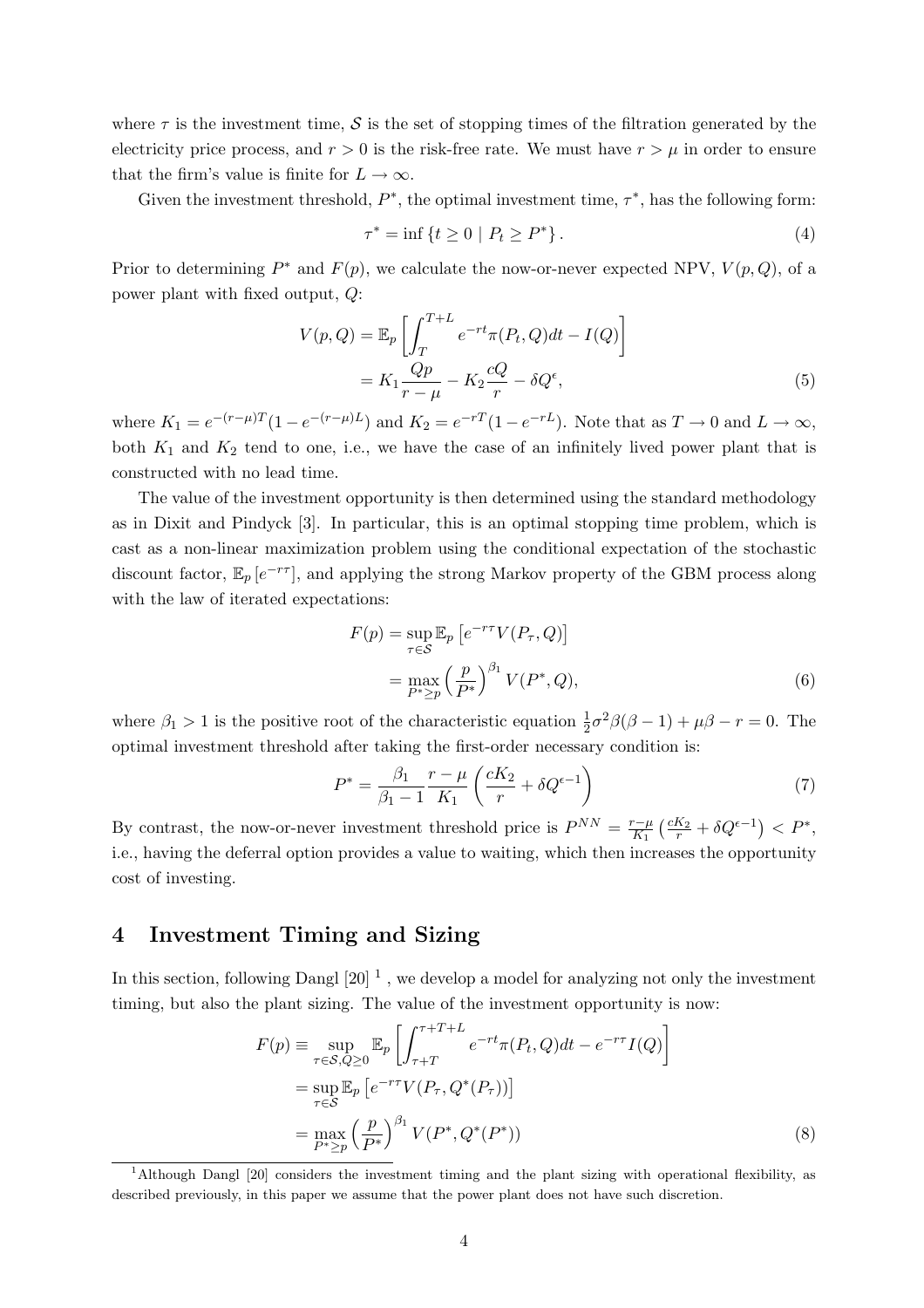where  $\tau$  is the investment time,  $\mathcal S$  is the set of stopping times of the filtration generated by the electricity price process, and  $r > 0$  is the risk-free rate. We must have  $r > \mu$  in order to ensure that the firm's value is finite for  $L \to \infty$ .

Given the investment threshold,  $P^*$ , the optimal investment time,  $\tau^*$ , has the following form:

$$
\tau^* = \inf \{ t \ge 0 \mid P_t \ge P^* \}. \tag{4}
$$

Prior to determining  $P^*$  and  $F(p)$ , we calculate the now-or-never expected NPV,  $V(p, Q)$ , of a power plant with fixed output, Q:

$$
V(p,Q) = \mathbb{E}_p \left[ \int_T^{T+L} e^{-rt} \pi(P_t, Q) dt - I(Q) \right]
$$
  
=  $K_1 \frac{Qp}{r - \mu} - K_2 \frac{cQ}{r} - \delta Q^{\epsilon},$  (5)

where  $K_1 = e^{-(r-\mu)T}(1-e^{-(r-\mu)L})$  and  $K_2 = e^{-rT}(1-e^{-rL})$ . Note that as  $T \to 0$  and  $L \to \infty$ , both  $K_1$  and  $K_2$  tend to one, i.e., we have the case of an infinitely lived power plant that is constructed with no lead time.

The value of the investment opportunity is then determined using the standard methodology as in Dixit and Pindyck [3]. In particular, this is an optimal stopping time problem, which is cast as a non-linear maximization problem using the conditional expectation of the stochastic discount factor,  $\mathbb{E}_p[e^{-r\tau}]$ , and applying the strong Markov property of the GBM process along with the law of iterated expectations:

$$
F(p) = \sup_{\tau \in S} \mathbb{E}_p \left[ e^{-r\tau} V(P_\tau, Q) \right]
$$
  
= 
$$
\max_{P^* \ge p} \left( \frac{p}{P^*} \right)^{\beta_1} V(P^*, Q),
$$
 (6)

where  $\beta_1 > 1$  is the positive root of the characteristic equation  $\frac{1}{2}\sigma^2\beta(\beta-1) + \mu\beta - r = 0$ . The optimal investment threshold after taking the first-order necessary condition is:

$$
P^* = \frac{\beta_1}{\beta_1 - 1} \frac{r - \mu}{K_1} \left( \frac{cK_2}{r} + \delta Q^{\epsilon - 1} \right)
$$
 (7)

By contrast, the now-or-never investment threshold price is  $P^{NN} = \frac{r-\mu}{K_1}$  $K_1$  $\left(\frac{cK_2}{r} + \delta Q^{\epsilon - 1}\right) < P^*,$ i.e., having the deferral option provides a value to waiting, which then increases the opportunity cost of investing.

#### 4 Investment Timing and Sizing

In this section, following Dangl  $[20]$ <sup>1</sup>, we develop a model for analyzing not only the investment timing, but also the plant sizing. The value of the investment opportunity is now:

$$
F(p) = \sup_{\tau \in S, Q \ge 0} \mathbb{E}_p \left[ \int_{\tau+T}^{\tau+T+L} e^{-rt} \pi(P_t, Q) dt - e^{-r\tau} I(Q) \right]
$$
  
= 
$$
\sup_{\tau \in S} \mathbb{E}_p \left[ e^{-r\tau} V(P_\tau, Q^*(P_\tau)) \right]
$$
  
= 
$$
\max_{P^* \ge p} \left( \frac{p}{P^*} \right)^{\beta_1} V(P^*, Q^*(P^*))
$$
 (8)

<sup>1</sup>Although Dangl [20] considers the investment timing and the plant sizing with operational flexibility, as described previously, in this paper we assume that the power plant does not have such discretion.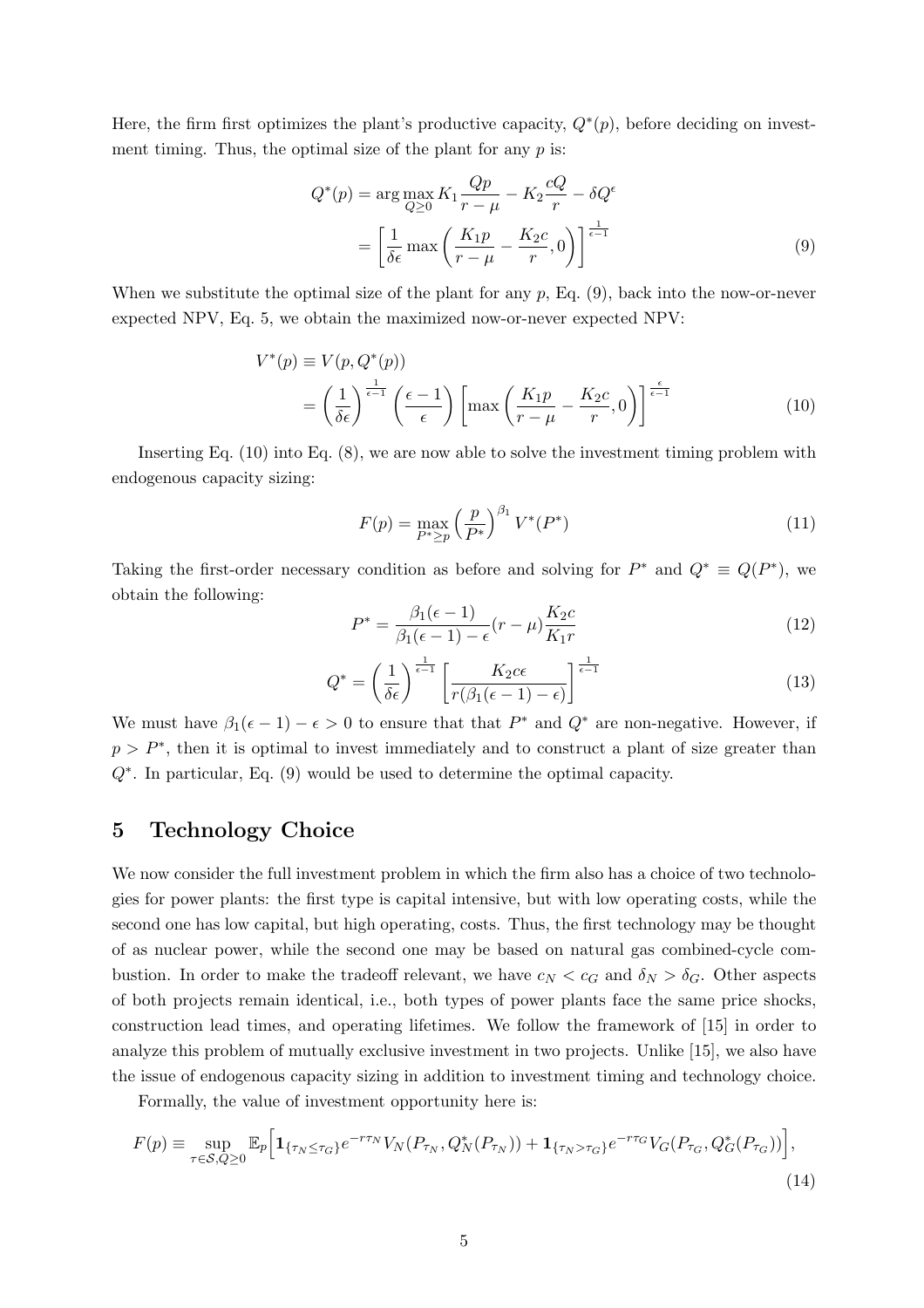Here, the firm first optimizes the plant's productive capacity,  $Q^*(p)$ , before deciding on investment timing. Thus, the optimal size of the plant for any  $p$  is:

$$
Q^*(p) = \arg \max_{Q \ge 0} K_1 \frac{Qp}{r - \mu} - K_2 \frac{cQ}{r} - \delta Q^{\epsilon}
$$

$$
= \left[ \frac{1}{\delta \epsilon} \max \left( \frac{K_1 p}{r - \mu} - \frac{K_2 c}{r}, 0 \right) \right]^{\frac{1}{\epsilon - 1}}
$$
(9)

When we substitute the optimal size of the plant for any  $p$ , Eq.  $(9)$ , back into the now-or-never expected NPV, Eq. 5, we obtain the maximized now-or-never expected NPV:

$$
V^*(p) \equiv V(p, Q^*(p))
$$
  
=  $\left(\frac{1}{\delta \epsilon}\right)^{\frac{1}{\epsilon - 1}} \left(\frac{\epsilon - 1}{\epsilon}\right) \left[\max\left(\frac{K_1 p}{r - \mu} - \frac{K_2 c}{r}, 0\right)\right]^{\frac{\epsilon}{\epsilon - 1}}$  (10)

Inserting Eq. (10) into Eq. (8), we are now able to solve the investment timing problem with endogenous capacity sizing:

$$
F(p) = \max_{P^* \ge p} \left(\frac{p}{P^*}\right)^{\beta_1} V^*(P^*)
$$
\n(11)

Taking the first-order necessary condition as before and solving for  $P^*$  and  $Q^* \equiv Q(P^*)$ , we obtain the following:

$$
P^* = \frac{\beta_1(\epsilon - 1)}{\beta_1(\epsilon - 1) - \epsilon}(r - \mu)\frac{K_2 c}{K_1 r}
$$
\n(12)

$$
Q^* = \left(\frac{1}{\delta \epsilon}\right)^{\frac{1}{\epsilon - 1}} \left[\frac{K_2 c \epsilon}{r(\beta_1(\epsilon - 1) - \epsilon)}\right]^{\frac{1}{\epsilon - 1}}\tag{13}
$$

We must have  $\beta_1(\epsilon-1)-\epsilon>0$  to ensure that that  $P^*$  and  $Q^*$  are non-negative. However, if  $p > P^*$ , then it is optimal to invest immediately and to construct a plant of size greater than Q<sup>∗</sup> . In particular, Eq. (9) would be used to determine the optimal capacity.

## 5 Technology Choice

We now consider the full investment problem in which the firm also has a choice of two technologies for power plants: the first type is capital intensive, but with low operating costs, while the second one has low capital, but high operating, costs. Thus, the first technology may be thought of as nuclear power, while the second one may be based on natural gas combined-cycle combustion. In order to make the tradeoff relevant, we have  $c_N < c_G$  and  $\delta_N > \delta_G$ . Other aspects of both projects remain identical, i.e., both types of power plants face the same price shocks, construction lead times, and operating lifetimes. We follow the framework of [15] in order to analyze this problem of mutually exclusive investment in two projects. Unlike [15], we also have the issue of endogenous capacity sizing in addition to investment timing and technology choice.

Formally, the value of investment opportunity here is:

$$
F(p) \equiv \sup_{\tau \in S, Q \ge 0} \mathbb{E}_p \Big[ \mathbf{1}_{\{\tau_N \le \tau_G\}} e^{-r\tau_N} V_N(P_{\tau_N}, Q_N^*(P_{\tau_N})) + \mathbf{1}_{\{\tau_N > \tau_G\}} e^{-r\tau_G} V_G(P_{\tau_G}, Q_G^*(P_{\tau_G})) \Big],
$$
\n(14)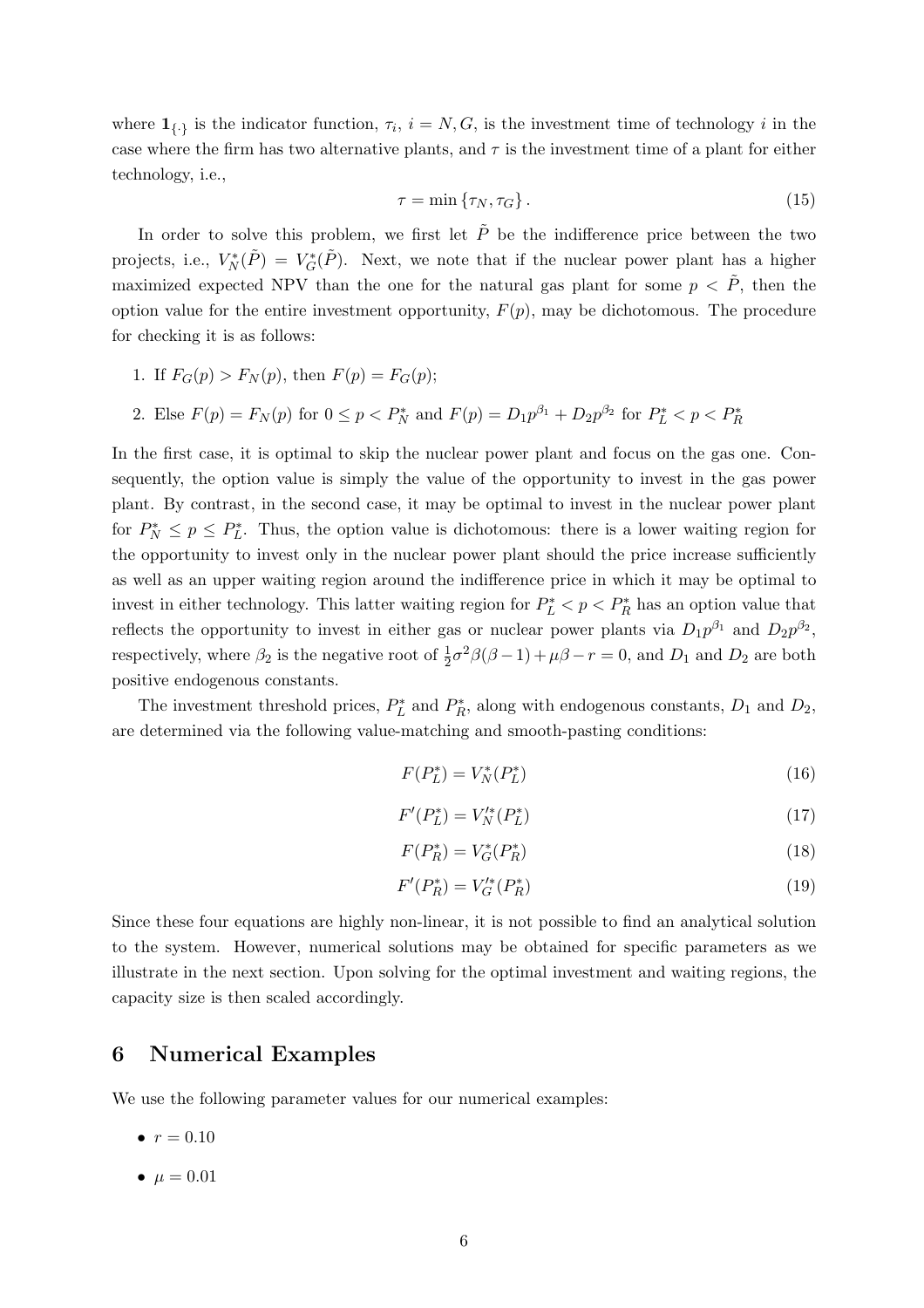where  $\mathbf{1}_{\{.\}}$  is the indicator function,  $\tau_i$ ,  $i = N, G$ , is the investment time of technology i in the case where the firm has two alternative plants, and  $\tau$  is the investment time of a plant for either technology, i.e.,

$$
\tau = \min \{ \tau_N, \tau_G \}. \tag{15}
$$

In order to solve this problem, we first let  $\tilde{P}$  be the indifference price between the two projects, i.e.,  $V_N^*(\tilde{P}) = V_G^*(\tilde{P})$ . Next, we note that if the nuclear power plant has a higher maximized expected NPV than the one for the natural gas plant for some  $p < \tilde{P}$ , then the option value for the entire investment opportunity,  $F(p)$ , may be dichotomous. The procedure for checking it is as follows:

1. If 
$$
F_G(p) > F_N(p)
$$
, then  $F(p) = F_G(p)$ ;

2. Else 
$$
F(p) = F_N(p)
$$
 for  $0 \le p < P_N^*$  and  $F(p) = D_1 p^{\beta_1} + D_2 p^{\beta_2}$  for  $P_L^* < p < P_R^*$ 

In the first case, it is optimal to skip the nuclear power plant and focus on the gas one. Consequently, the option value is simply the value of the opportunity to invest in the gas power plant. By contrast, in the second case, it may be optimal to invest in the nuclear power plant for  $P_N^* \leq p \leq P_L^*$ . Thus, the option value is dichotomous: there is a lower waiting region for the opportunity to invest only in the nuclear power plant should the price increase sufficiently as well as an upper waiting region around the indifference price in which it may be optimal to invest in either technology. This latter waiting region for  $P_L^* < p < P_R^*$  has an option value that reflects the opportunity to invest in either gas or nuclear power plants via  $D_1 p^{\beta_1}$  and  $D_2 p^{\beta_2}$ , respectively, where  $\beta_2$  is the negative root of  $\frac{1}{2}\sigma^2\beta(\beta-1)+\mu\beta-r=0$ , and  $D_1$  and  $D_2$  are both positive endogenous constants.

The investment threshold prices,  $P_L^*$  and  $P_R^*$ , along with endogenous constants,  $D_1$  and  $D_2$ , are determined via the following value-matching and smooth-pasting conditions:

$$
F(P_L^*) = V_N^*(P_L^*)\tag{16}
$$

$$
F'(P_L^*) = V_N'^*(P_L^*)
$$
\n(17)

$$
F(P_R^*) = V_G^*(P_R^*)
$$
\n(18)

$$
F'(P_R^*) = V_G'^*(P_R^*)
$$
\n(19)

Since these four equations are highly non-linear, it is not possible to find an analytical solution to the system. However, numerical solutions may be obtained for specific parameters as we illustrate in the next section. Upon solving for the optimal investment and waiting regions, the capacity size is then scaled accordingly.

#### 6 Numerical Examples

We use the following parameter values for our numerical examples:

- $r = 0.10$
- $\mu = 0.01$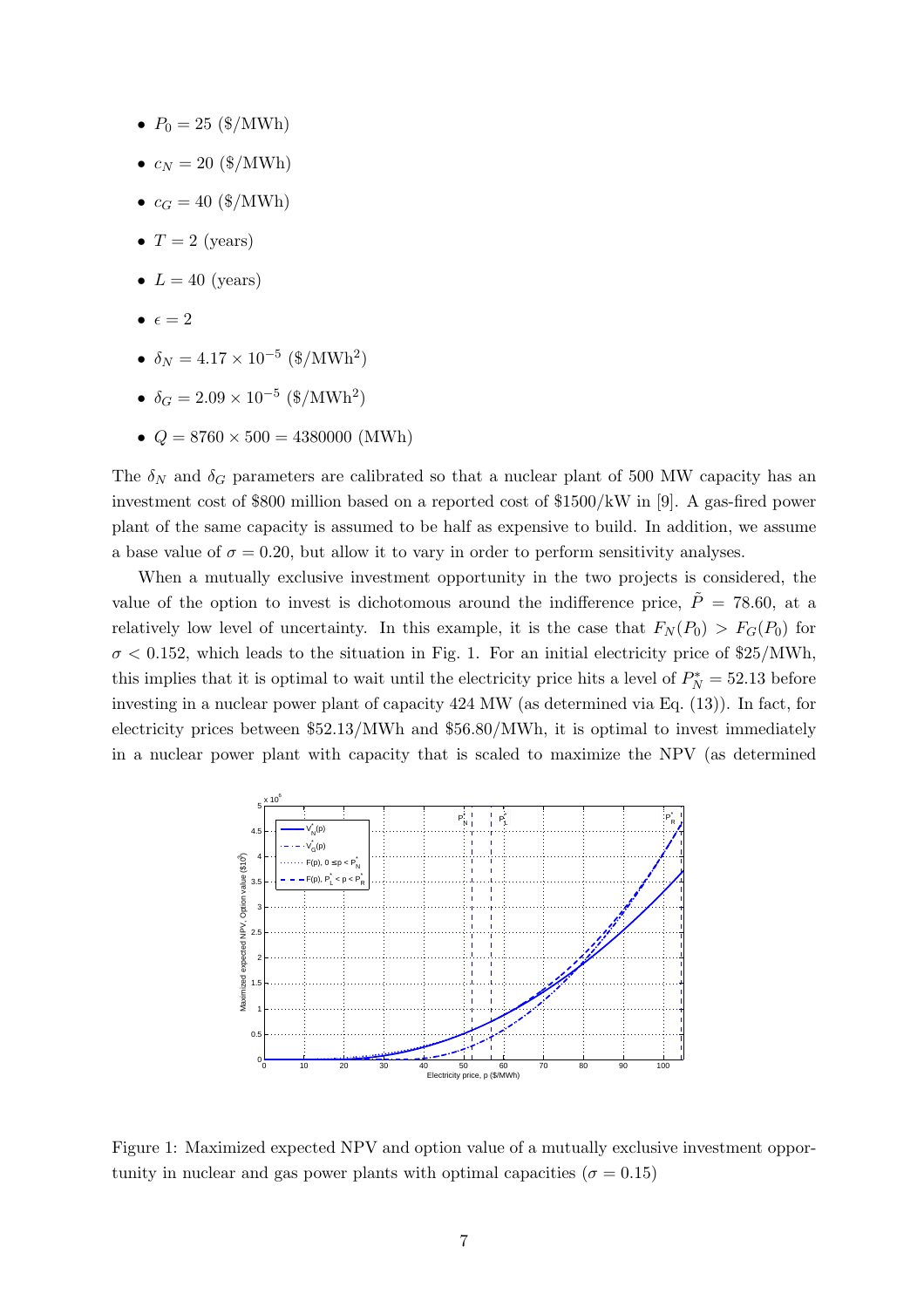- $P_0 = 25$  (\$/MWh)
- $c_N = 20 \text{ ($\frac{6}{\text{MWh}}$)}$
- $c_G = 40 \text{ ($\,\$/MWh)}$
- $T = 2$  (years)
- $L = 40$  (years)
- $\bullet \epsilon = 2$
- $\delta_N = 4.17 \times 10^{-5} \text{ ($\frac{\$}{MWh^2}$)}$
- $\delta_G = 2.09 \times 10^{-5} \text{ (NWh}^2)$
- $Q = 8760 \times 500 = 4380000$  (MWh)

The  $\delta_N$  and  $\delta_G$  parameters are calibrated so that a nuclear plant of 500 MW capacity has an investment cost of \$800 million based on a reported cost of \$1500/kW in [9]. A gas-fired power plant of the same capacity is assumed to be half as expensive to build. In addition, we assume a base value of  $\sigma = 0.20$ , but allow it to vary in order to perform sensitivity analyses.

When a mutually exclusive investment opportunity in the two projects is considered, the value of the option to invest is dichotomous around the indifference price,  $\tilde{P} = 78.60$ , at a relatively low level of uncertainty. In this example, it is the case that  $F_N(P_0) > F_G(P_0)$  for  $\sigma$  < 0.152, which leads to the situation in Fig. 1. For an initial electricity price of \$25/MWh, this implies that it is optimal to wait until the electricity price hits a level of  $P_N^* = 52.13$  before investing in a nuclear power plant of capacity 424 MW (as determined via Eq. (13)). In fact, for electricity prices between \$52.13/MWh and \$56.80/MWh, it is optimal to invest immediately in a nuclear power plant with capacity that is scaled to maximize the NPV (as determined



Figure 1: Maximized expected NPV and option value of a mutually exclusive investment opportunity in nuclear and gas power plants with optimal capacities ( $\sigma = 0.15$ )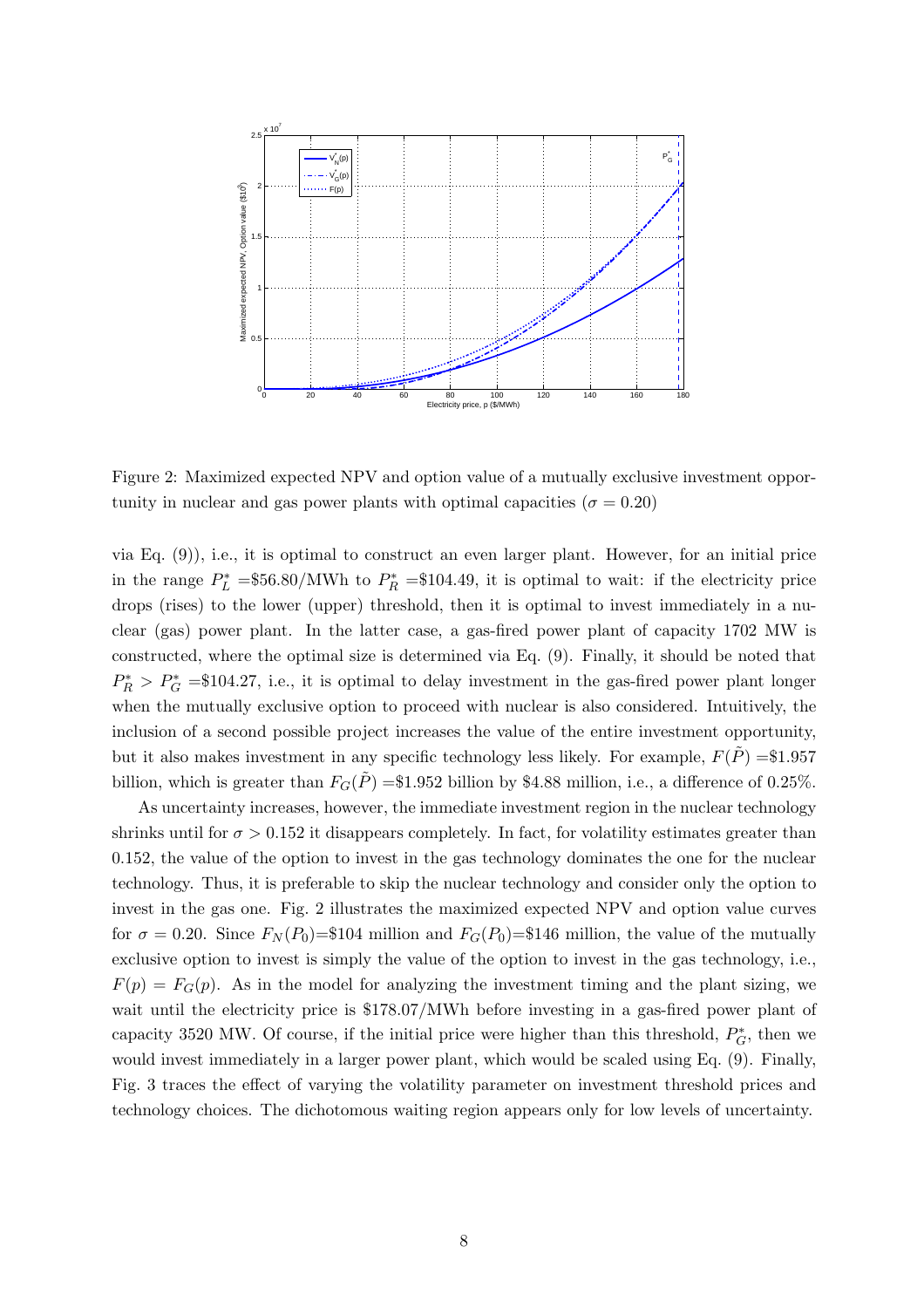

Figure 2: Maximized expected NPV and option value of a mutually exclusive investment opportunity in nuclear and gas power plants with optimal capacities ( $\sigma = 0.20$ )

via Eq. (9)), i.e., it is optimal to construct an even larger plant. However, for an initial price in the range  $P_L^* = $56.80/\text{MWh}$  to  $P_R^* = $104.49$ , it is optimal to wait: if the electricity price drops (rises) to the lower (upper) threshold, then it is optimal to invest immediately in a nuclear (gas) power plant. In the latter case, a gas-fired power plant of capacity 1702 MW is constructed, where the optimal size is determined via Eq. (9). Finally, it should be noted that  $P_R^* > P_G^* = $104.27$ , i.e., it is optimal to delay investment in the gas-fired power plant longer when the mutually exclusive option to proceed with nuclear is also considered. Intuitively, the inclusion of a second possible project increases the value of the entire investment opportunity, but it also makes investment in any specific technology less likely. For example,  $F(P) = $1.957$ billion, which is greater than  $F_G(\tilde{P}) = \$1.952$  billion by \$4.88 million, i.e., a difference of 0.25%.

As uncertainty increases, however, the immediate investment region in the nuclear technology shrinks until for  $\sigma > 0.152$  it disappears completely. In fact, for volatility estimates greater than 0.152, the value of the option to invest in the gas technology dominates the one for the nuclear technology. Thus, it is preferable to skip the nuclear technology and consider only the option to invest in the gas one. Fig. 2 illustrates the maximized expected NPV and option value curves for  $\sigma = 0.20$ . Since  $F_N(P_0) = \$104$  million and  $F_G(P_0) = \$146$  million, the value of the mutually exclusive option to invest is simply the value of the option to invest in the gas technology, i.e.,  $F(p) = F<sub>G</sub>(p)$ . As in the model for analyzing the investment timing and the plant sizing, we wait until the electricity price is  $$178.07/MWh$  before investing in a gas-fired power plant of capacity 3520 MW. Of course, if the initial price were higher than this threshold,  $P_G^*$ , then we would invest immediately in a larger power plant, which would be scaled using Eq. (9). Finally, Fig. 3 traces the effect of varying the volatility parameter on investment threshold prices and technology choices. The dichotomous waiting region appears only for low levels of uncertainty.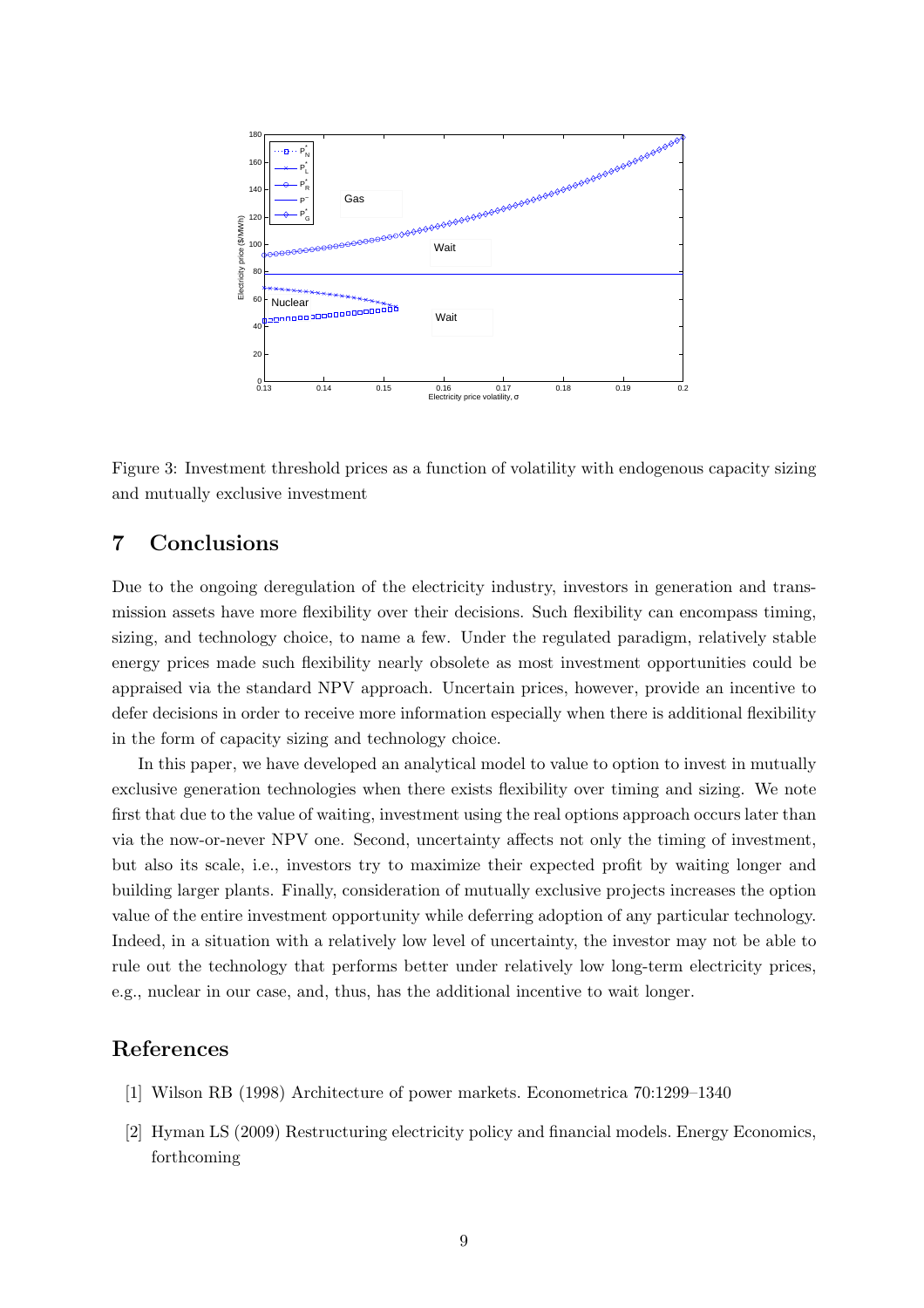

Figure 3: Investment threshold prices as a function of volatility with endogenous capacity sizing and mutually exclusive investment

# 7 Conclusions

Due to the ongoing deregulation of the electricity industry, investors in generation and transmission assets have more flexibility over their decisions. Such flexibility can encompass timing, sizing, and technology choice, to name a few. Under the regulated paradigm, relatively stable energy prices made such flexibility nearly obsolete as most investment opportunities could be appraised via the standard NPV approach. Uncertain prices, however, provide an incentive to defer decisions in order to receive more information especially when there is additional flexibility in the form of capacity sizing and technology choice.

In this paper, we have developed an analytical model to value to option to invest in mutually exclusive generation technologies when there exists flexibility over timing and sizing. We note first that due to the value of waiting, investment using the real options approach occurs later than via the now-or-never NPV one. Second, uncertainty affects not only the timing of investment, but also its scale, i.e., investors try to maximize their expected profit by waiting longer and building larger plants. Finally, consideration of mutually exclusive projects increases the option value of the entire investment opportunity while deferring adoption of any particular technology. Indeed, in a situation with a relatively low level of uncertainty, the investor may not be able to rule out the technology that performs better under relatively low long-term electricity prices, e.g., nuclear in our case, and, thus, has the additional incentive to wait longer.

## References

- [1] Wilson RB (1998) Architecture of power markets. Econometrica 70:1299–1340
- [2] Hyman LS (2009) Restructuring electricity policy and financial models. Energy Economics, forthcoming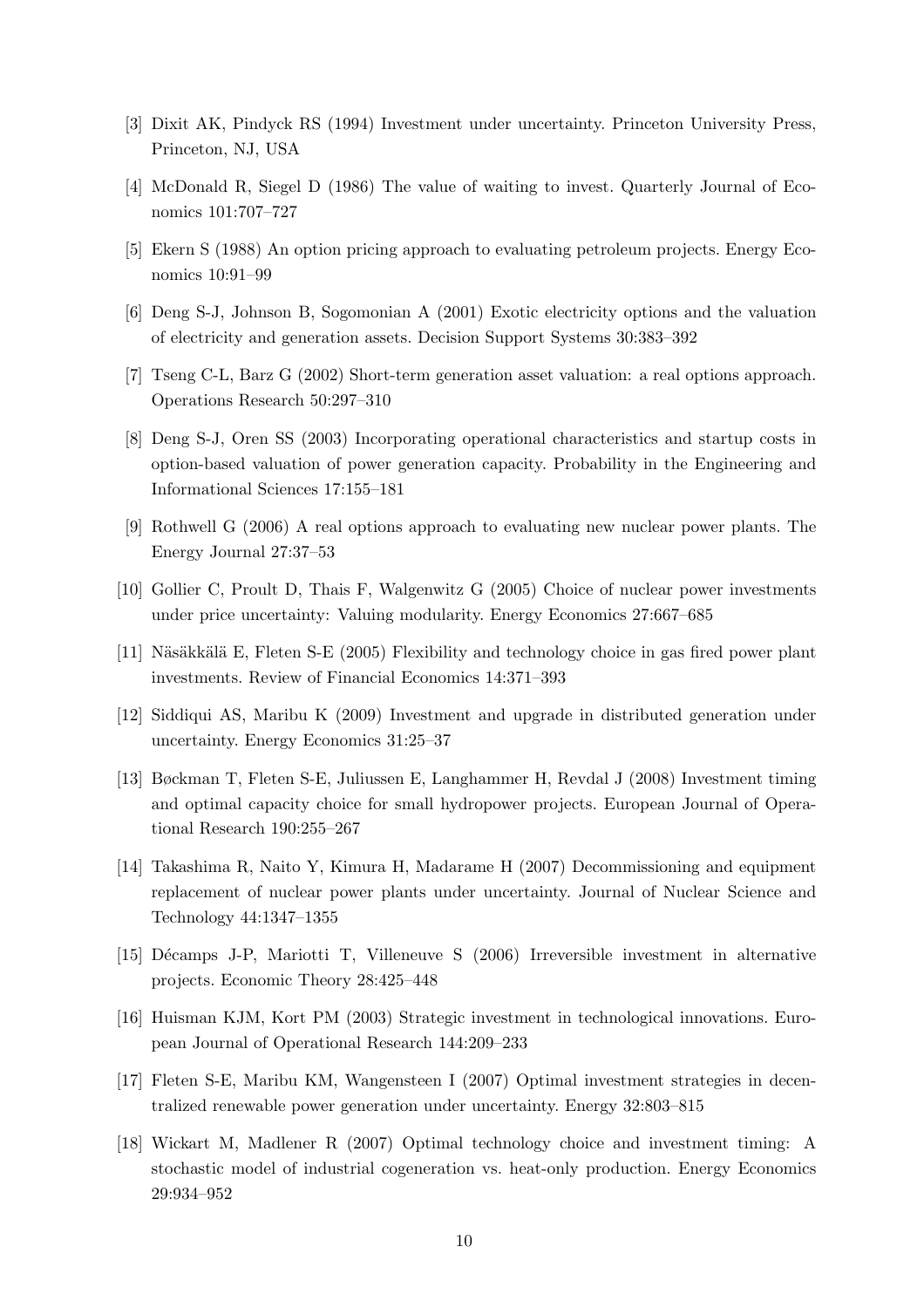- [3] Dixit AK, Pindyck RS (1994) Investment under uncertainty. Princeton University Press, Princeton, NJ, USA
- [4] McDonald R, Siegel D (1986) The value of waiting to invest. Quarterly Journal of Economics 101:707–727
- [5] Ekern S (1988) An option pricing approach to evaluating petroleum projects. Energy Economics 10:91–99
- [6] Deng S-J, Johnson B, Sogomonian A (2001) Exotic electricity options and the valuation of electricity and generation assets. Decision Support Systems 30:383–392
- [7] Tseng C-L, Barz G (2002) Short-term generation asset valuation: a real options approach. Operations Research 50:297–310
- [8] Deng S-J, Oren SS (2003) Incorporating operational characteristics and startup costs in option-based valuation of power generation capacity. Probability in the Engineering and Informational Sciences 17:155–181
- [9] Rothwell G (2006) A real options approach to evaluating new nuclear power plants. The Energy Journal 27:37–53
- [10] Gollier C, Proult D, Thais F, Walgenwitz G (2005) Choice of nuclear power investments under price uncertainty: Valuing modularity. Energy Economics 27:667–685
- [11] Näsäkkälä E, Fleten S-E (2005) Flexibility and technology choice in gas fired power plant investments. Review of Financial Economics 14:371–393
- [12] Siddiqui AS, Maribu K (2009) Investment and upgrade in distributed generation under uncertainty. Energy Economics 31:25–37
- [13] Bøckman T, Fleten S-E, Juliussen E, Langhammer H, Revdal J (2008) Investment timing and optimal capacity choice for small hydropower projects. European Journal of Operational Research 190:255–267
- [14] Takashima R, Naito Y, Kimura H, Madarame H (2007) Decommissioning and equipment replacement of nuclear power plants under uncertainty. Journal of Nuclear Science and Technology 44:1347–1355
- [15] D´ecamps J-P, Mariotti T, Villeneuve S (2006) Irreversible investment in alternative projects. Economic Theory 28:425–448
- [16] Huisman KJM, Kort PM (2003) Strategic investment in technological innovations. European Journal of Operational Research 144:209–233
- [17] Fleten S-E, Maribu KM, Wangensteen I (2007) Optimal investment strategies in decentralized renewable power generation under uncertainty. Energy 32:803–815
- [18] Wickart M, Madlener R (2007) Optimal technology choice and investment timing: A stochastic model of industrial cogeneration vs. heat-only production. Energy Economics 29:934–952